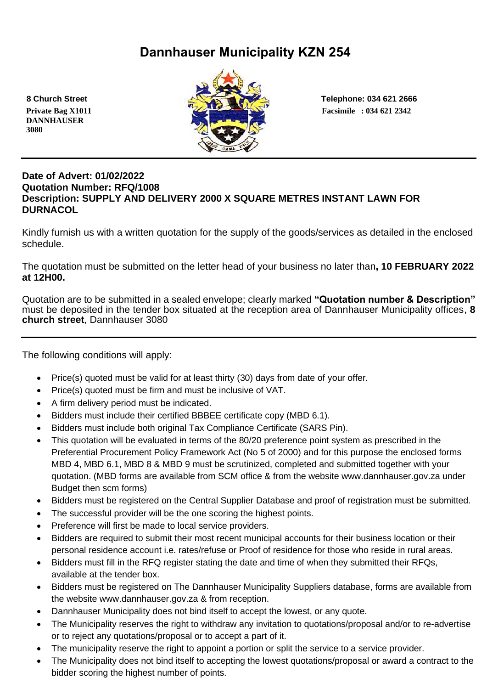# **Dannhauser Municipality KZN 254**

 **DANNHAUSER 3080** 



 **8 Church Street Telephone: 034 621 2666**

#### **Date of Advert: 01/02/2022 Quotation Number: RFQ/1008 Description: SUPPLY AND DELIVERY 2000 X SQUARE METRES INSTANT LAWN FOR DURNACOL**

Kindly furnish us with a written quotation for the supply of the goods/services as detailed in the enclosed schedule.

The quotation must be submitted on the letter head of your business no later than**, 10 FEBRUARY 2022 at 12H00.**

Quotation are to be submitted in a sealed envelope; clearly marked **"Quotation number & Description"** must be deposited in the tender box situated at the reception area of Dannhauser Municipality offices, **8 church street**, Dannhauser 3080

The following conditions will apply:

- Price(s) quoted must be valid for at least thirty (30) days from date of your offer.
- Price(s) quoted must be firm and must be inclusive of VAT.
- A firm delivery period must be indicated.
- Bidders must include their certified BBBEE certificate copy (MBD 6.1).
- Bidders must include both original Tax Compliance Certificate (SARS Pin).
- This quotation will be evaluated in terms of the 80/20 preference point system as prescribed in the Preferential Procurement Policy Framework Act (No 5 of 2000) and for this purpose the enclosed forms MBD 4, MBD 6.1, MBD 8 & MBD 9 must be scrutinized, completed and submitted together with your quotation. (MBD forms are available from SCM office & from the website www.dannhauser.gov.za under Budget then scm forms)
- Bidders must be registered on the Central Supplier Database and proof of registration must be submitted.
- The successful provider will be the one scoring the highest points.
- Preference will first be made to local service providers.
- Bidders are required to submit their most recent municipal accounts for their business location or their personal residence account i.e. rates/refuse or Proof of residence for those who reside in rural areas.
- Bidders must fill in the RFQ register stating the date and time of when they submitted their RFQs, available at the tender box.
- Bidders must be registered on The Dannhauser Municipality Suppliers database, forms are available from the website www.dannhauser.gov.za & from reception.
- Dannhauser Municipality does not bind itself to accept the lowest, or any quote.
- The Municipality reserves the right to withdraw any invitation to quotations/proposal and/or to re-advertise or to reject any quotations/proposal or to accept a part of it.
- The municipality reserve the right to appoint a portion or split the service to a service provider.
- The Municipality does not bind itself to accepting the lowest quotations/proposal or award a contract to the bidder scoring the highest number of points.